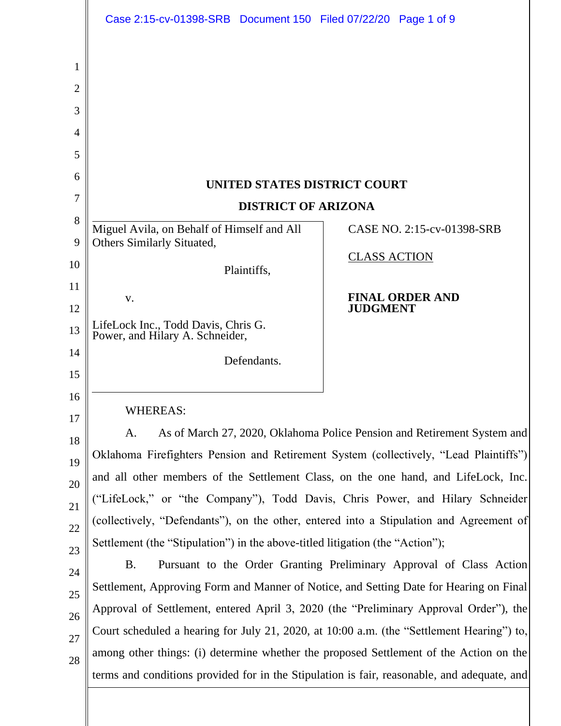| Case 2:15-cv-01398-SRB Document 150 Filed 07/22/20 Page 1 of 9                |                                                                                           |
|-------------------------------------------------------------------------------|-------------------------------------------------------------------------------------------|
|                                                                               |                                                                                           |
|                                                                               |                                                                                           |
|                                                                               |                                                                                           |
|                                                                               |                                                                                           |
|                                                                               |                                                                                           |
|                                                                               | UNITED STATES DISTRICT COURT                                                              |
| <b>DISTRICT OF ARIZONA</b>                                                    |                                                                                           |
| Miguel Avila, on Behalf of Himself and All                                    | CASE NO. 2:15-cv-01398-SRB                                                                |
| Others Similarly Situated,                                                    | <b>CLASS ACTION</b>                                                                       |
| Plaintiffs,                                                                   |                                                                                           |
| V.                                                                            | <b>FINAL ORDER AND</b>                                                                    |
|                                                                               | <b>JUDGMENT</b>                                                                           |
| LifeLock Inc., Todd Davis, Chris G.<br>Power, and Hilary A. Schneider,        |                                                                                           |
| Defendants.                                                                   |                                                                                           |
|                                                                               |                                                                                           |
| <b>WHEREAS:</b>                                                               |                                                                                           |
| A.                                                                            | As of March 27, 2020, Oklahoma Police Pension and Retirement System and                   |
|                                                                               | Oklahoma Firefighters Pension and Retirement System (collectively, "Lead Plaintiffs")     |
|                                                                               | and all other members of the Settlement Class, on the one hand, and LifeLock, Inc.        |
|                                                                               | ("LifeLock," or "the Company"), Todd Davis, Chris Power, and Hilary Schneider             |
|                                                                               | (collectively, "Defendants"), on the other, entered into a Stipulation and Agreement of   |
| Settlement (the "Stipulation") in the above-titled litigation (the "Action"); |                                                                                           |
| Β.                                                                            | Pursuant to the Order Granting Preliminary Approval of Class Action                       |
|                                                                               | Settlement, Approving Form and Manner of Notice, and Setting Date for Hearing on Final    |
|                                                                               | Approval of Settlement, entered April 3, 2020 (the "Preliminary Approval Order"), the     |
|                                                                               | Court scheduled a hearing for July 21, 2020, at 10:00 a.m. (the "Settlement Hearing") to, |
|                                                                               | among other things: (i) determine whether the proposed Settlement of the Action on the    |
|                                                                               |                                                                                           |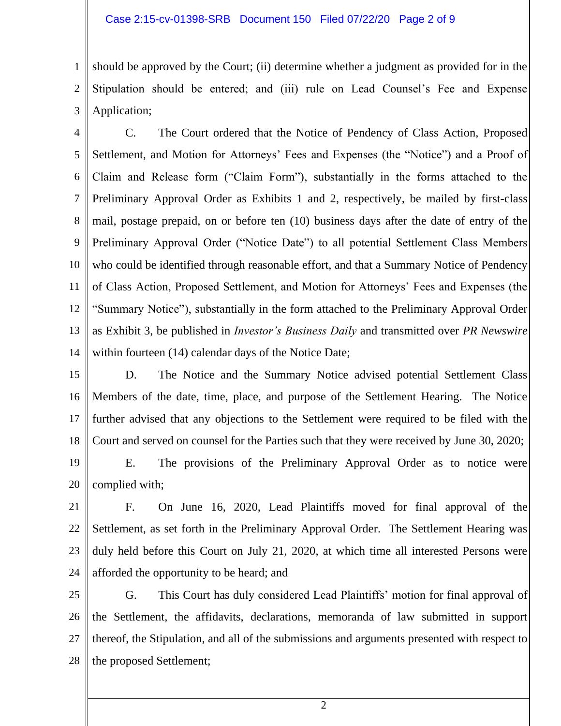1 2 3 should be approved by the Court; (ii) determine whether a judgment as provided for in the Stipulation should be entered; and (iii) rule on Lead Counsel's Fee and Expense Application;

4 5 6 7 8 9 10 11 12 13 14 C. The Court ordered that the Notice of Pendency of Class Action, Proposed Settlement, and Motion for Attorneys' Fees and Expenses (the "Notice") and a Proof of Claim and Release form ("Claim Form"), substantially in the forms attached to the Preliminary Approval Order as Exhibits 1 and 2, respectively, be mailed by first-class mail, postage prepaid, on or before ten (10) business days after the date of entry of the Preliminary Approval Order ("Notice Date") to all potential Settlement Class Members who could be identified through reasonable effort, and that a Summary Notice of Pendency of Class Action, Proposed Settlement, and Motion for Attorneys' Fees and Expenses (the "Summary Notice"), substantially in the form attached to the Preliminary Approval Order as Exhibit 3, be published in *Investor's Business Daily* and transmitted over *PR Newswire* within fourteen (14) calendar days of the Notice Date;

15 16 17 18 D. The Notice and the Summary Notice advised potential Settlement Class Members of the date, time, place, and purpose of the Settlement Hearing. The Notice further advised that any objections to the Settlement were required to be filed with the Court and served on counsel for the Parties such that they were received by June 30, 2020;

19 20 E. The provisions of the Preliminary Approval Order as to notice were complied with;

21 22 23 24 F. On June 16, 2020, Lead Plaintiffs moved for final approval of the Settlement, as set forth in the Preliminary Approval Order. The Settlement Hearing was duly held before this Court on July 21, 2020, at which time all interested Persons were afforded the opportunity to be heard; and

25 26 27 28 G. This Court has duly considered Lead Plaintiffs' motion for final approval of the Settlement, the affidavits, declarations, memoranda of law submitted in support thereof, the Stipulation, and all of the submissions and arguments presented with respect to the proposed Settlement;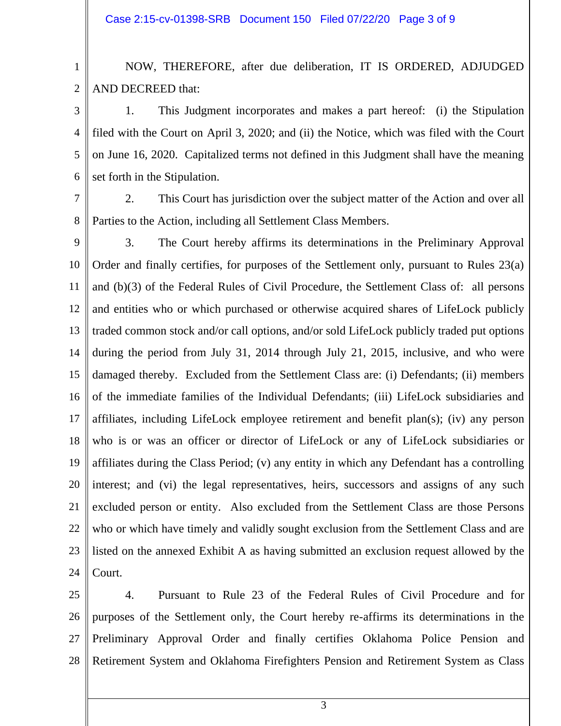1 2 NOW, THEREFORE, after due deliberation, IT IS ORDERED, ADJUDGED AND DECREED that:

3 4 5 6 1. This Judgment incorporates and makes a part hereof: (i) the Stipulation filed with the Court on April 3, 2020; and (ii) the Notice, which was filed with the Court on June 16, 2020. Capitalized terms not defined in this Judgment shall have the meaning set forth in the Stipulation.

7

8 2. This Court has jurisdiction over the subject matter of the Action and over all Parties to the Action, including all Settlement Class Members.

9 10 11 12 13 14 15 16 17 18 19 20 21 22 23 24 3. The Court hereby affirms its determinations in the Preliminary Approval Order and finally certifies, for purposes of the Settlement only, pursuant to Rules 23(a) and (b)(3) of the Federal Rules of Civil Procedure, the Settlement Class of: all persons and entities who or which purchased or otherwise acquired shares of LifeLock publicly traded common stock and/or call options, and/or sold LifeLock publicly traded put options during the period from July 31, 2014 through July 21, 2015, inclusive, and who were damaged thereby. Excluded from the Settlement Class are: (i) Defendants; (ii) members of the immediate families of the Individual Defendants; (iii) LifeLock subsidiaries and affiliates, including LifeLock employee retirement and benefit plan(s); (iv) any person who is or was an officer or director of LifeLock or any of LifeLock subsidiaries or affiliates during the Class Period; (v) any entity in which any Defendant has a controlling interest; and (vi) the legal representatives, heirs, successors and assigns of any such excluded person or entity. Also excluded from the Settlement Class are those Persons who or which have timely and validly sought exclusion from the Settlement Class and are listed on the annexed Exhibit A as having submitted an exclusion request allowed by the Court.

25 26 27 28 4. Pursuant to Rule 23 of the Federal Rules of Civil Procedure and for purposes of the Settlement only, the Court hereby re-affirms its determinations in the Preliminary Approval Order and finally certifies Oklahoma Police Pension and Retirement System and Oklahoma Firefighters Pension and Retirement System as Class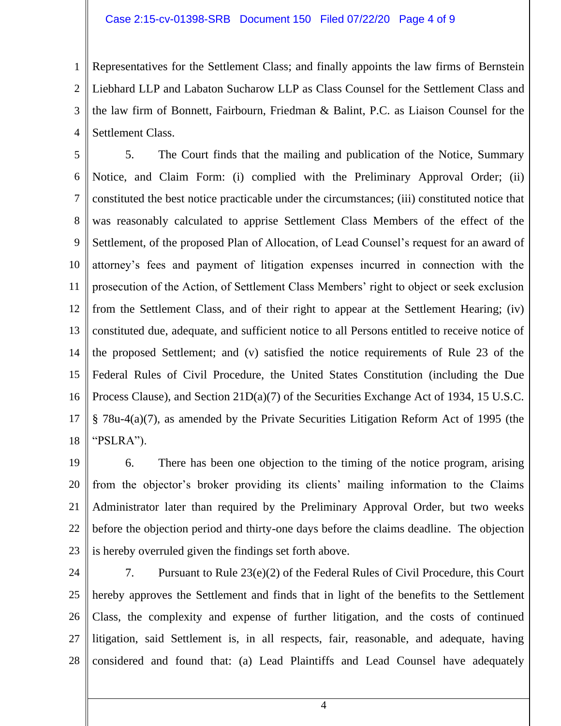1 2 3 4 Representatives for the Settlement Class; and finally appoints the law firms of Bernstein Liebhard LLP and Labaton Sucharow LLP as Class Counsel for the Settlement Class and the law firm of Bonnett, Fairbourn, Friedman & Balint, P.C. as Liaison Counsel for the Settlement Class.

5 6 7 8 9 10 11 12 13 14 15 16 17 18 5. The Court finds that the mailing and publication of the Notice, Summary Notice, and Claim Form: (i) complied with the Preliminary Approval Order; (ii) constituted the best notice practicable under the circumstances; (iii) constituted notice that was reasonably calculated to apprise Settlement Class Members of the effect of the Settlement, of the proposed Plan of Allocation, of Lead Counsel's request for an award of attorney's fees and payment of litigation expenses incurred in connection with the prosecution of the Action, of Settlement Class Members' right to object or seek exclusion from the Settlement Class, and of their right to appear at the Settlement Hearing; (iv) constituted due, adequate, and sufficient notice to all Persons entitled to receive notice of the proposed Settlement; and (v) satisfied the notice requirements of Rule 23 of the Federal Rules of Civil Procedure, the United States Constitution (including the Due Process Clause), and Section 21D(a)(7) of the Securities Exchange Act of 1934, 15 U.S.C. § 78u-4(a)(7), as amended by the Private Securities Litigation Reform Act of 1995 (the "PSLRA").

19 20 21 22 23 6. There has been one objection to the timing of the notice program, arising from the objector's broker providing its clients' mailing information to the Claims Administrator later than required by the Preliminary Approval Order, but two weeks before the objection period and thirty-one days before the claims deadline. The objection is hereby overruled given the findings set forth above.

24 25 26 27 28 7. Pursuant to Rule 23(e)(2) of the Federal Rules of Civil Procedure, this Court hereby approves the Settlement and finds that in light of the benefits to the Settlement Class, the complexity and expense of further litigation, and the costs of continued litigation, said Settlement is, in all respects, fair, reasonable, and adequate, having considered and found that: (a) Lead Plaintiffs and Lead Counsel have adequately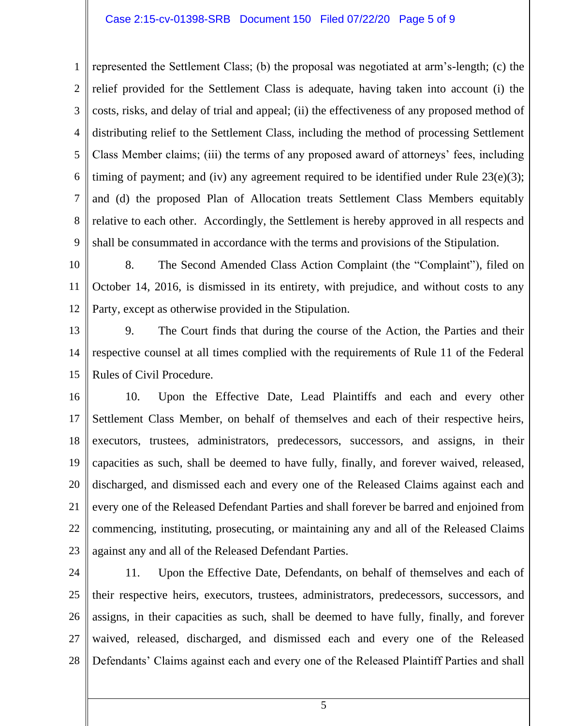## Case 2:15-cv-01398-SRB Document 150 Filed 07/22/20 Page 5 of 9

1 2 3 4 5 6 7 8 9 represented the Settlement Class; (b) the proposal was negotiated at arm's-length; (c) the relief provided for the Settlement Class is adequate, having taken into account (i) the costs, risks, and delay of trial and appeal; (ii) the effectiveness of any proposed method of distributing relief to the Settlement Class, including the method of processing Settlement Class Member claims; (iii) the terms of any proposed award of attorneys' fees, including timing of payment; and (iv) any agreement required to be identified under Rule  $23(e)(3)$ ; and (d) the proposed Plan of Allocation treats Settlement Class Members equitably relative to each other. Accordingly, the Settlement is hereby approved in all respects and shall be consummated in accordance with the terms and provisions of the Stipulation.

10 11 12 8. The Second Amended Class Action Complaint (the "Complaint"), filed on October 14, 2016, is dismissed in its entirety, with prejudice, and without costs to any Party, except as otherwise provided in the Stipulation.

13 14 15 9. The Court finds that during the course of the Action, the Parties and their respective counsel at all times complied with the requirements of Rule 11 of the Federal Rules of Civil Procedure.

16 17 18 19 20 21 22 23 10. Upon the Effective Date, Lead Plaintiffs and each and every other Settlement Class Member, on behalf of themselves and each of their respective heirs, executors, trustees, administrators, predecessors, successors, and assigns, in their capacities as such, shall be deemed to have fully, finally, and forever waived, released, discharged, and dismissed each and every one of the Released Claims against each and every one of the Released Defendant Parties and shall forever be barred and enjoined from commencing, instituting, prosecuting, or maintaining any and all of the Released Claims against any and all of the Released Defendant Parties.

24 25 26 27 28 11. Upon the Effective Date, Defendants, on behalf of themselves and each of their respective heirs, executors, trustees, administrators, predecessors, successors, and assigns, in their capacities as such, shall be deemed to have fully, finally, and forever waived, released, discharged, and dismissed each and every one of the Released Defendants' Claims against each and every one of the Released Plaintiff Parties and shall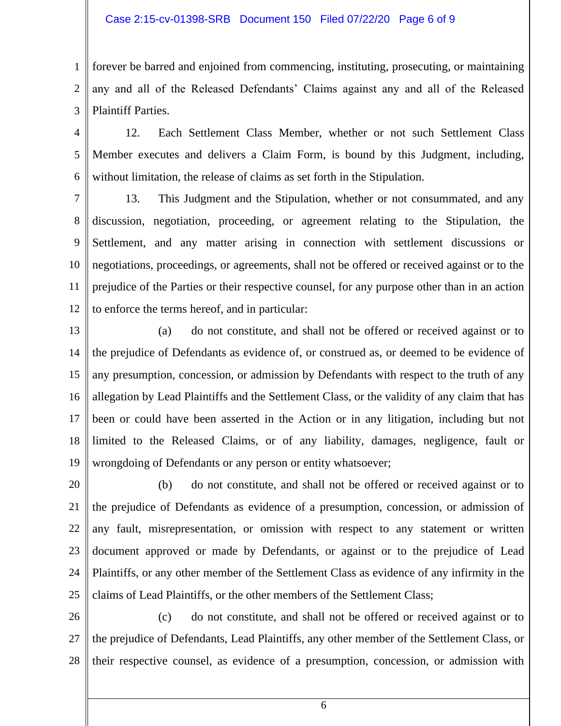## Case 2:15-cv-01398-SRB Document 150 Filed 07/22/20 Page 6 of 9

1 2 3 forever be barred and enjoined from commencing, instituting, prosecuting, or maintaining any and all of the Released Defendants' Claims against any and all of the Released Plaintiff Parties.

4 5 6 12. Each Settlement Class Member, whether or not such Settlement Class Member executes and delivers a Claim Form, is bound by this Judgment, including, without limitation, the release of claims as set forth in the Stipulation.

7 8 9 10 11 12 13. This Judgment and the Stipulation, whether or not consummated, and any discussion, negotiation, proceeding, or agreement relating to the Stipulation, the Settlement, and any matter arising in connection with settlement discussions or negotiations, proceedings, or agreements, shall not be offered or received against or to the prejudice of the Parties or their respective counsel, for any purpose other than in an action to enforce the terms hereof, and in particular:

13 14 15 16 17 18 19 (a) do not constitute, and shall not be offered or received against or to the prejudice of Defendants as evidence of, or construed as, or deemed to be evidence of any presumption, concession, or admission by Defendants with respect to the truth of any allegation by Lead Plaintiffs and the Settlement Class, or the validity of any claim that has been or could have been asserted in the Action or in any litigation, including but not limited to the Released Claims, or of any liability, damages, negligence, fault or wrongdoing of Defendants or any person or entity whatsoever;

20 21 22 23 24 25 (b) do not constitute, and shall not be offered or received against or to the prejudice of Defendants as evidence of a presumption, concession, or admission of any fault, misrepresentation, or omission with respect to any statement or written document approved or made by Defendants, or against or to the prejudice of Lead Plaintiffs, or any other member of the Settlement Class as evidence of any infirmity in the claims of Lead Plaintiffs, or the other members of the Settlement Class;

26 27 28 (c) do not constitute, and shall not be offered or received against or to the prejudice of Defendants, Lead Plaintiffs, any other member of the Settlement Class, or their respective counsel, as evidence of a presumption, concession, or admission with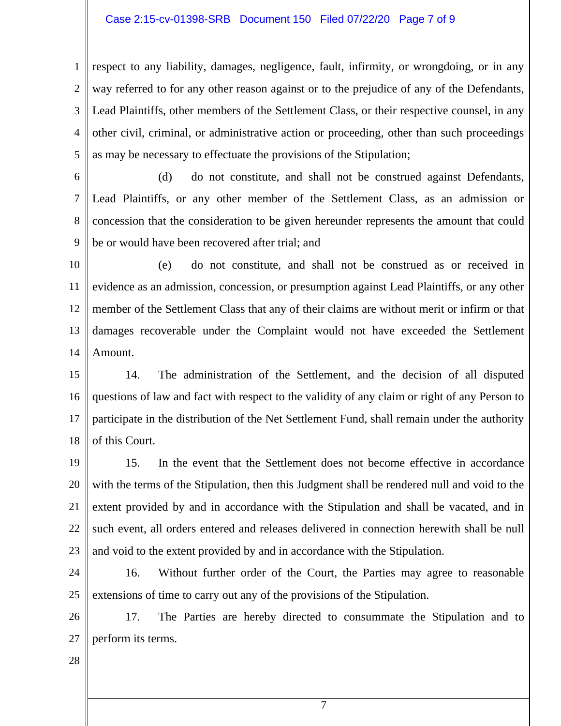## Case 2:15-cv-01398-SRB Document 150 Filed 07/22/20 Page 7 of 9

1 2 3 4 5 respect to any liability, damages, negligence, fault, infirmity, or wrongdoing, or in any way referred to for any other reason against or to the prejudice of any of the Defendants, Lead Plaintiffs, other members of the Settlement Class, or their respective counsel, in any other civil, criminal, or administrative action or proceeding, other than such proceedings as may be necessary to effectuate the provisions of the Stipulation;

6

7

8

9

(d) do not constitute, and shall not be construed against Defendants, Lead Plaintiffs, or any other member of the Settlement Class, as an admission or concession that the consideration to be given hereunder represents the amount that could be or would have been recovered after trial; and

10 11 12 13 14 (e) do not constitute, and shall not be construed as or received in evidence as an admission, concession, or presumption against Lead Plaintiffs, or any other member of the Settlement Class that any of their claims are without merit or infirm or that damages recoverable under the Complaint would not have exceeded the Settlement Amount.

15 16 17 18 14. The administration of the Settlement, and the decision of all disputed questions of law and fact with respect to the validity of any claim or right of any Person to participate in the distribution of the Net Settlement Fund, shall remain under the authority of this Court.

19 20 21 22 23 15. In the event that the Settlement does not become effective in accordance with the terms of the Stipulation, then this Judgment shall be rendered null and void to the extent provided by and in accordance with the Stipulation and shall be vacated, and in such event, all orders entered and releases delivered in connection herewith shall be null and void to the extent provided by and in accordance with the Stipulation.

24 25 16. Without further order of the Court, the Parties may agree to reasonable extensions of time to carry out any of the provisions of the Stipulation.

26 27 17. The Parties are hereby directed to consummate the Stipulation and to perform its terms.

28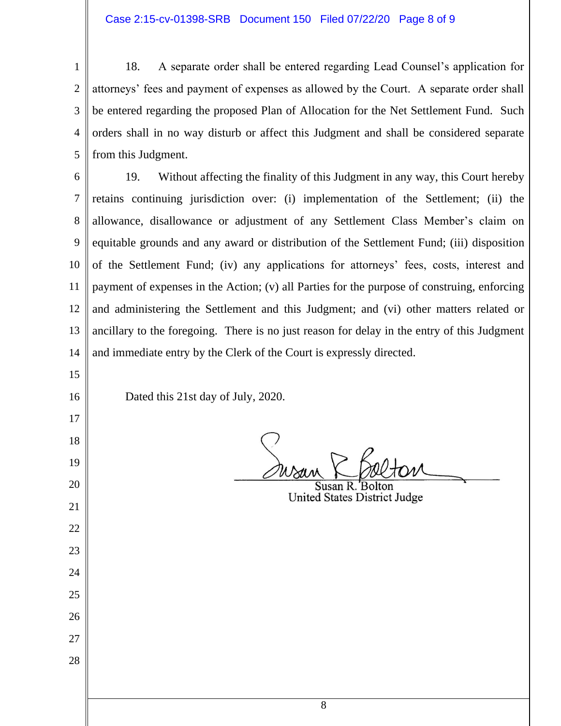18. A separate order shall be entered regarding Lead Counsel's application for attorneys' fees and payment of expenses as allowed by the Court. A separate order shall be entered regarding the proposed Plan of Allocation for the Net Settlement Fund. Such orders shall in no way disturb or affect this Judgment and shall be considered separate from this Judgment.

 19. Without affecting the finality of this Judgment in any way, this Court hereby retains continuing jurisdiction over: (i) implementation of the Settlement; (ii) the allowance, disallowance or adjustment of any Settlement Class Member's claim on equitable grounds and any award or distribution of the Settlement Fund; (iii) disposition of the Settlement Fund; (iv) any applications for attorneys' fees, costs, interest and payment of expenses in the Action; (v) all Parties for the purpose of construing, enforcing and administering the Settlement and this Judgment; and (vi) other matters related or ancillary to the foregoing. There is no just reason for delay in the entry of this Judgment and immediate entry by the Clerk of the Court is expressly directed.

Dated this 21st day of July, 2020.

United States District Judge